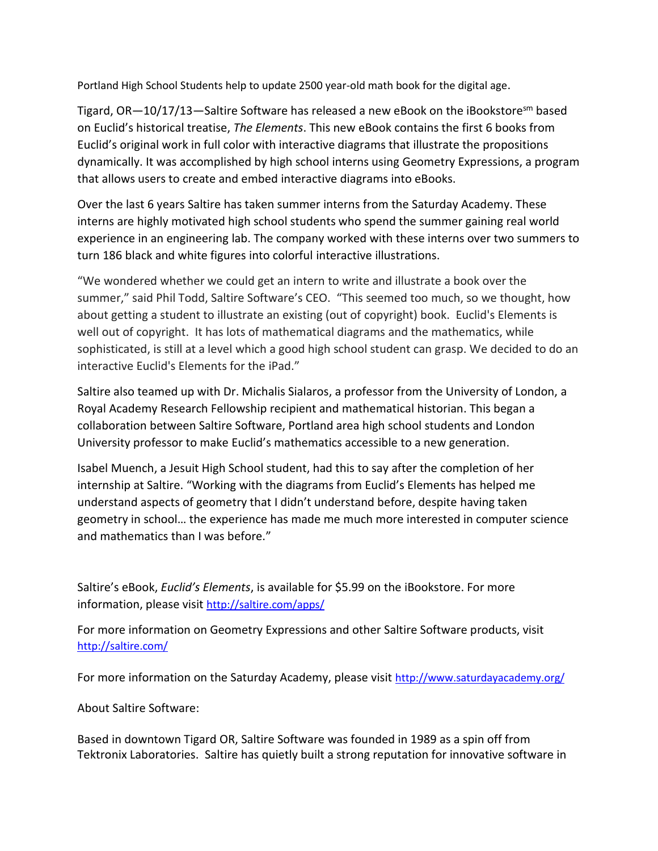Portland High School Students help to update 2500 year-old math book for the digital age.

Tigard,  $OR-10/17/13$ —Saltire Software has released a new eBook on the iBookstoresm based on Euclid's historical treatise, *The Elements*. This new eBook contains the first 6 books from Euclid's original work in full color with interactive diagrams that illustrate the propositions dynamically. It was accomplished by high school interns using Geometry Expressions, a program that allows users to create and embed interactive diagrams into eBooks.

Over the last 6 years Saltire has taken summer interns from the Saturday Academy. These interns are highly motivated high school students who spend the summer gaining real world experience in an engineering lab. The company worked with these interns over two summers to turn 186 black and white figures into colorful interactive illustrations.

"We wondered whether we could get an intern to write and illustrate a book over the summer," said Phil Todd, Saltire Software's CEO. "This seemed too much, so we thought, how about getting a student to illustrate an existing (out of copyright) book. Euclid's Elements is well out of copyright. It has lots of mathematical diagrams and the mathematics, while sophisticated, is still at a level which a good high school student can grasp. We decided to do an interactive Euclid's Elements for the iPad."

Saltire also teamed up with Dr. Michalis Sialaros, a professor from the University of London, a Royal Academy Research Fellowship recipient and mathematical historian. This began a collaboration between Saltire Software, Portland area high school students and London University professor to make Euclid's mathematics accessible to a new generation.

Isabel Muench, a Jesuit High School student, had this to say after the completion of her internship at Saltire. "Working with the diagrams from Euclid's Elements has helped me understand aspects of geometry that I didn't understand before, despite having taken geometry in school… the experience has made me much more interested in computer science and mathematics than I was before."

Saltire's eBook, *Euclid's Elements*, is available for \$5.99 on the iBookstore. For more information, please visit <http://saltire.com/apps/>

For more information on Geometry Expressions and other Saltire Software products, visit <http://saltire.com/>

For more information on the Saturday Academy, please visit <http://www.saturdayacademy.org/>

About Saltire Software:

Based in downtown Tigard OR, Saltire Software was founded in 1989 as a spin off from Tektronix Laboratories. Saltire has quietly built a strong reputation for innovative software in